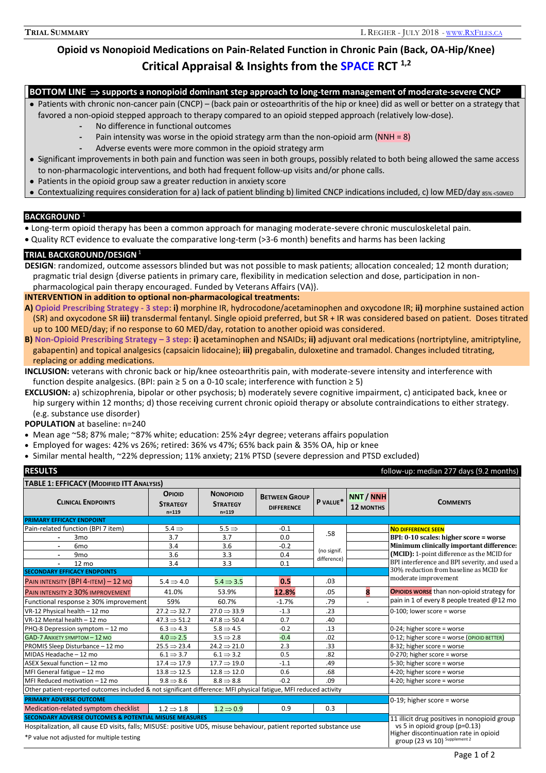# **Opioid vs Nonopioid Medications on Pain-Related Function in Chronic Pain (Back, OA-Hip/Knee) Critical Appraisal & Insights from the SPACE RCT 1,2**

**BOTTOM LINE supports a nonopioid dominant step approach to long-term management of moderate-severe CNCP**

 Patients with chronic non-cancer pain (CNCP) – (back pain or osteoarthritis of the hip or knee) did as well or better on a strategy that favored a non-opioid stepped approach to therapy compared to an opioid stepped approach (relatively low-dose).

- **-** No difference in functional outcomes
- **-** Pain intensity was worse in the opioid strategy arm than the non-opioid arm (NNH = 8)
- **-** Adverse events were more common in the opioid strategy arm
- Significant improvements in both pain and function was seen in both groups, possibly related to both being allowed the same access to non-pharmacologic interventions, and both had frequent follow-up visits and/or phone calls.
- Patients in the opioid group saw a greater reduction in anxiety score
- Contextualizing requires consideration for a) lack of patient blinding b) limited CNCP indications included, c) low MED/day 85% <50MED

### **BACKGROUND** <sup>1</sup>

- Long-term opioid therapy has been a common approach for managing moderate-severe chronic musculoskeletal pain.
- Quality RCT evidence to evaluate the comparative long-term (>3-6 month) benefits and harms has been lacking

# **TRIAL BACKGROUND/DESIGN**<sup>1</sup>

**DESIGN**: randomized, outcome assessors blinded but was not possible to mask patients; allocation concealed; 12 month duration; pragmatic trial design {diverse patients in primary care, flexibility in medication selection and dose, participation in nonpharmacological pain therapy encouraged. Funded by Veterans Affairs (VA)}.

# **INTERVENTION in addition to optional non-pharmacological treatments:**

- **A) Opioid Prescribing Strategy - 3 step**: **i)** morphine IR, hydrocodone/acetaminophen and oxycodone IR; **ii)** morphine sustained action (SR) and oxycodone SR **iii)** transdermal fentanyl. Single opioid preferred, but SR + IR was considered based on patient. Doses titrated up to 100 MED/day; if no response to 60 MED/day, rotation to another opioid was considered.
- **B) Non-Opioid Prescribing Strategy – 3 step**: **i)** acetaminophen and NSAIDs; **ii)** adjuvant oral medications (nortriptyline, amitriptyline, gabapentin) and topical analgesics (capsaicin lidocaine); **iii)** pregabalin, duloxetine and tramadol. Changes included titrating, replacing or adding medications.
- **INCLUSION:** veterans with chronic back or hip/knee osteoarthritis pain, with moderate-severe intensity and interference with function despite analgesics. (BPI: pain  $\geq$  5 on a 0-10 scale; interference with function  $\geq$  5)
- **EXCLUSION:** a) schizophrenia, bipolar or other psychosis; b) moderately severe cognitive impairment, c) anticipated back, knee or hip surgery within 12 months; d) those receiving current chronic opioid therapy or absolute contraindications to either strategy. (e.g. substance use disorder)

# **POPULATION** at baseline: n=240

- Mean age ~58; 87% male; ~87% white; education: 25% ≥4yr degree; veterans affairs population
- Employed for wages: 42% vs 26%; retired: 36% vs 47%; 65% back pain & 35% OA, hip or knee
- Similar mental health, ~22% depression; 11% anxiety; 21% PTSD (severe depression and PTSD excluded)

| <b>RESULTS</b><br>follow-up: median 277 days (9.2 months)                                                           |                                               |                                                  |                                           |             |                               |                                                                                                                                                         |  |
|---------------------------------------------------------------------------------------------------------------------|-----------------------------------------------|--------------------------------------------------|-------------------------------------------|-------------|-------------------------------|---------------------------------------------------------------------------------------------------------------------------------------------------------|--|
| <b>TABLE 1: EFFICACY (MODIFIED ITT ANALYSIS)</b>                                                                    |                                               |                                                  |                                           |             |                               |                                                                                                                                                         |  |
| <b>CLINICAL ENDPOINTS</b>                                                                                           | <b>OPIOID</b><br><b>STRATEGY</b><br>$n = 119$ | <b>NONOPIOID</b><br><b>STRATEGY</b><br>$n = 119$ | <b>BETWEEN GROUP</b><br><b>DIFFERENCE</b> | P VALUE*    | NNT / NNH<br><b>12 MONTHS</b> | <b>COMMENTS</b>                                                                                                                                         |  |
| <b>PRIMARY EFFICACY ENDPOINT</b>                                                                                    |                                               |                                                  |                                           |             |                               |                                                                                                                                                         |  |
| Pain-related function (BPI 7 item)                                                                                  | $5.4 \Rightarrow$                             | $5.5 \Rightarrow$                                | $-0.1$                                    | .58         |                               | <b>NO DIFFERENCE SEEN</b>                                                                                                                               |  |
| 3 <sub>mo</sub>                                                                                                     | 3.7                                           | 3.7                                              | 0.0                                       |             |                               | BPI: 0-10 scales: higher score = worse                                                                                                                  |  |
| 6 <sub>mo</sub><br>$\blacksquare$                                                                                   | 3.4                                           | 3.6                                              | $-0.2$                                    | (no signif. |                               | Minimum clinically important difference:                                                                                                                |  |
| 9 <sub>mo</sub>                                                                                                     | 3.6                                           | 3.3                                              | 0.4                                       | difference) |                               | (MCID): 1-point difference as the MCID for                                                                                                              |  |
| 12 mo                                                                                                               | 3.4                                           | 3.3                                              | 0.1                                       |             |                               | BPI interference and BPI severity, and used a                                                                                                           |  |
| <b>SECONDARY EFFICACY ENDPOINTS</b>                                                                                 |                                               |                                                  |                                           |             |                               | 30% reduction from baseline as MCID for                                                                                                                 |  |
| PAIN INTENSITY (BPI 4-ITEM) $-12$ MO                                                                                | $5.4 \Rightarrow 4.0$                         | $5.4 \Rightarrow 3.5$                            | 0.5                                       | .03         |                               | moderate improvement                                                                                                                                    |  |
| PAIN INTENSITY $\geq$ 30% IMPROVEMENT                                                                               | 41.0%                                         | 53.9%                                            | 12.8%                                     | .05         | 8                             | <b>OPIOIDS WORSE</b> than non-opioid strategy for                                                                                                       |  |
| Functional response ≥ 30% improvement                                                                               | 59%                                           | 60.7%                                            | $-1.7%$                                   | .79         |                               | pain in 1 of every 8 people treated @12 mo                                                                                                              |  |
| VR-12 Physical health - 12 mo                                                                                       | $27.2 \Rightarrow 32.7$                       | $27.0 \Rightarrow 33.9$                          | $-1.3$                                    | .23         |                               | 0-100; lower score = worse                                                                                                                              |  |
| VR-12 Mental health - 12 mo                                                                                         | $47.3 \Rightarrow 51.2$                       | $47.8 \Rightarrow 50.4$                          | 0.7                                       | .40         |                               |                                                                                                                                                         |  |
| PHQ-8 Depression symptom - 12 mo                                                                                    | $6.3 \Rightarrow 4.3$                         | $5.8 \Rightarrow 4.5$                            | $-0.2$                                    | .13         |                               | 0-24; higher score = worse                                                                                                                              |  |
| GAD-7 ANXIETY SYMPTOM - 12 MO                                                                                       | $4.0 \Rightarrow 2.5$                         | $3.5 \Rightarrow 2.8$                            | $-0.4$                                    | .02         |                               | 0-12; higher score = worse (OPIOID BETTER)                                                                                                              |  |
| PROMIS Sleep Disturbance - 12 mo                                                                                    | $25.5 \Rightarrow 23.4$                       | $24.2 \Rightarrow 21.0$                          | 2.3                                       | .33         |                               | 8-32; higher score = worse                                                                                                                              |  |
| MIDAS Headache - 12 mo                                                                                              | $6.1 \Rightarrow 3.7$                         | $6.1 \Rightarrow 3.2$                            | 0.5                                       | .82         |                               | 0-270; higher score = worse                                                                                                                             |  |
| ASEX Sexual function - 12 mo                                                                                        | $17.4 \Rightarrow 17.9$                       | $17.7 \Rightarrow 19.0$                          | $-1.1$                                    | .49         |                               | 5-30; higher score = worse                                                                                                                              |  |
| MFI General fatigue - 12 mo                                                                                         | $13.8 \Rightarrow 12.5$                       | $12.8 \Rightarrow 12.0$                          | 0.6                                       | .68         |                               | 4-20; higher score = worse                                                                                                                              |  |
| MFI Reduced motivation - 12 mo                                                                                      | $9.8 \Rightarrow 8.6$                         | $8.8 \Rightarrow 8.8$                            | $-0.2$                                    | .09         |                               | 4-20; higher score = worse                                                                                                                              |  |
| Other patient-reported outcomes included & not significant difference: MFI physical fatigue, MFI reduced activity   |                                               |                                                  |                                           |             |                               |                                                                                                                                                         |  |
| <b>PRIMARY ADVERSE OUTCOME</b>                                                                                      |                                               |                                                  |                                           |             |                               | 0-19; higher score = worse                                                                                                                              |  |
| Medication-related symptom checklist                                                                                | $1.2 \Rightarrow 1.8$                         | $1.2 \Rightarrow 0.9$                            | 0.9                                       | 0.3         |                               |                                                                                                                                                         |  |
| <b>SECONDARY ADVERSE OUTCOMES &amp; POTENTIAL MISUSE MEASURES</b>                                                   |                                               |                                                  |                                           |             |                               | 11 illicit drug positives in nonopioid group<br>vs 5 in opioid group (p=0.13)<br>Higher discontinuation rate in opioid<br>group (23 vs 10) Supplement 2 |  |
| Hospitalization, all cause ED visits, falls; MISUSE: positive UDS, misuse behaviour, patient reported substance use |                                               |                                                  |                                           |             |                               |                                                                                                                                                         |  |
| *P value not adjusted for multiple testing                                                                          |                                               |                                                  |                                           |             |                               |                                                                                                                                                         |  |